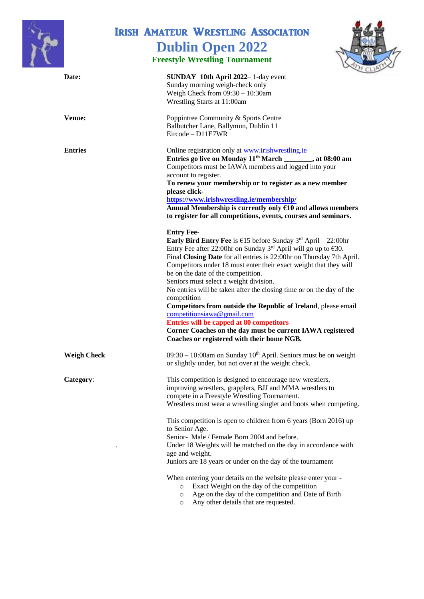

## Irish Amateur Wrestling Association **Dublin Open 2022**

## **Freestyle Wrestling Tournament**



| Date:              | <b>SUNDAY 10th April 2022</b> 1-day event                                                               |
|--------------------|---------------------------------------------------------------------------------------------------------|
|                    | Sunday morning weigh-check only                                                                         |
|                    | Weigh Check from $09:30 - 10:30$ am                                                                     |
|                    | Wrestling Starts at 11:00am                                                                             |
| <b>Venue:</b>      | Poppintree Community & Sports Centre                                                                    |
|                    | Balbutcher Lane, Ballymun, Dublin 11                                                                    |
|                    | $Eircode - D11E7WR$                                                                                     |
| <b>Entries</b>     | Online registration only at www.irishwrestling.ie                                                       |
|                    | Entries go live on Monday 11 <sup>th</sup> March _______, at 08:00 am                                   |
|                    | Competitors must be IAWA members and logged into your                                                   |
|                    | account to register.                                                                                    |
|                    | To renew your membership or to register as a new member                                                 |
|                    | please click-                                                                                           |
|                    | https://www.irishwrestling.ie/membership/                                                               |
|                    | Annual Membership is currently only €10 and allows members                                              |
|                    | to register for all competitions, events, courses and seminars.                                         |
|                    | <b>Entry Fee-</b>                                                                                       |
|                    | <b>Early Bird Entry Fee</b> is $\epsilon$ 15 before Sunday 3 <sup>rd</sup> April – 22:00hr              |
|                    | Entry Fee after 22:00hr on Sunday 3 <sup>rd</sup> April will go up to $\epsilon$ 30.                    |
|                    | Final Closing Date for all entries is 22:00hr on Thursday 7th April.                                    |
|                    | Competitors under 18 must enter their exact weight that they will                                       |
|                    | be on the date of the competition.                                                                      |
|                    | Seniors must select a weight division.                                                                  |
|                    | No entries will be taken after the closing time or on the day of the                                    |
|                    | competition                                                                                             |
|                    | Competitors from outside the Republic of Ireland, please email                                          |
|                    | competitionsiawa@gmail.com                                                                              |
|                    | Entries will be capped at 80 competitors                                                                |
|                    | Corner Coaches on the day must be current IAWA registered<br>Coaches or registered with their home NGB. |
|                    |                                                                                                         |
| <b>Weigh Check</b> | $09:30 - 10:00$ am on Sunday $10th$ April. Seniors must be on weight                                    |
|                    | or slightly under, but not over at the weight check.                                                    |
| Category:          | This competition is designed to encourage new wrestlers,                                                |
|                    | improving wrestlers, grapplers, BJJ and MMA wrestlers to                                                |
|                    | compete in a Freestyle Wrestling Tournament.                                                            |
|                    | Wrestlers must wear a wrestling singlet and boots when competing.                                       |
|                    | This competition is open to children from 6 years (Born 2016) up                                        |
|                    | to Senior Age.                                                                                          |
|                    | Senior-Male / Female Born 2004 and before.                                                              |
|                    | Under 18 Weights will be matched on the day in accordance with                                          |
|                    | age and weight.                                                                                         |
|                    | Juniors are 18 years or under on the day of the tournament                                              |
|                    | When entering your details on the website please enter your -                                           |
|                    | Exact Weight on the day of the competition<br>$\circ$                                                   |
|                    | Age on the day of the competition and Date of Birth<br>$\circ$                                          |
|                    | Any other details that are requested.<br>$\circ$                                                        |